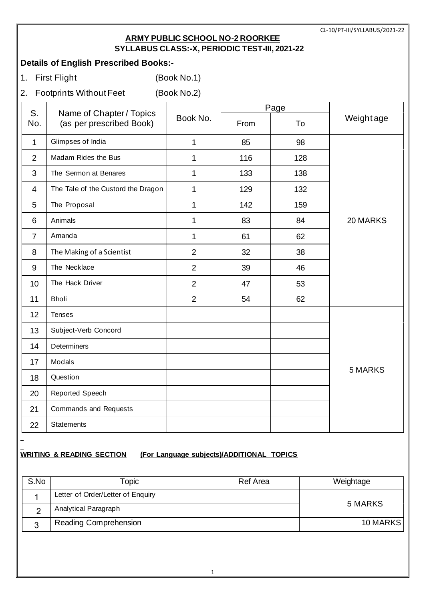### **ARMY PUBLIC SCHOOL NO-2 ROORKEE SYLLABUS CLASS:-X, PERIODIC TEST-III, 2021-22**

# **Details of English Prescribed Books:-**

- 1. First Flight (Book No.1)
- 2. Footprints Without Feet (Book No.2)

| S.             | Name of Chapter / Topics<br>(as per prescribed Book) |                | Page |     |                |
|----------------|------------------------------------------------------|----------------|------|-----|----------------|
| No.            |                                                      | Book No.       | From | To  | Weightage      |
| $\mathbf{1}$   | Glimpses of India                                    | $\mathbf{1}$   | 85   | 98  |                |
| $\overline{2}$ | Madam Rides the Bus                                  | $\mathbf{1}$   | 116  | 128 |                |
| 3              | The Sermon at Benares                                | 1              | 133  | 138 |                |
| $\overline{4}$ | The Tale of the Custord the Dragon                   | $\mathbf{1}$   | 129  | 132 |                |
| 5              | The Proposal                                         | 1              | 142  | 159 |                |
| 6              | Animals                                              | 1              | 83   | 84  | 20 MARKS       |
| $\overline{7}$ | Amanda                                               | 1              | 61   | 62  |                |
| 8              | The Making of a Scientist                            | $\overline{2}$ | 32   | 38  |                |
| 9              | The Necklace                                         | $\overline{2}$ | 39   | 46  |                |
| 10             | The Hack Driver                                      | $\overline{2}$ | 47   | 53  |                |
| 11             | <b>Bholi</b>                                         | $\overline{2}$ | 54   | 62  |                |
| 12             | <b>Tenses</b>                                        |                |      |     |                |
| 13             | Subject-Verb Concord                                 |                |      |     |                |
| 14             | <b>Determiners</b>                                   |                |      |     |                |
| 17             | Modals                                               |                |      |     |                |
| 18             | Question                                             |                |      |     | <b>5 MARKS</b> |
| 20             | <b>Reported Speech</b>                               |                |      |     |                |
| 21             | Commands and Requests                                |                |      |     |                |
| 22             | <b>Statements</b>                                    |                |      |     |                |

# **WRITING & READING SECTION (For Language subjects)/ADDITIONAL TOPICS**

| S.No | <b>Topic</b>                      | Ref Area | Weightage |
|------|-----------------------------------|----------|-----------|
|      | Letter of Order/Letter of Enquiry |          |           |
|      | Analytical Paragraph              |          | 5 MARKS   |
|      | <b>Reading Comprehension</b>      |          | 10 MARKS  |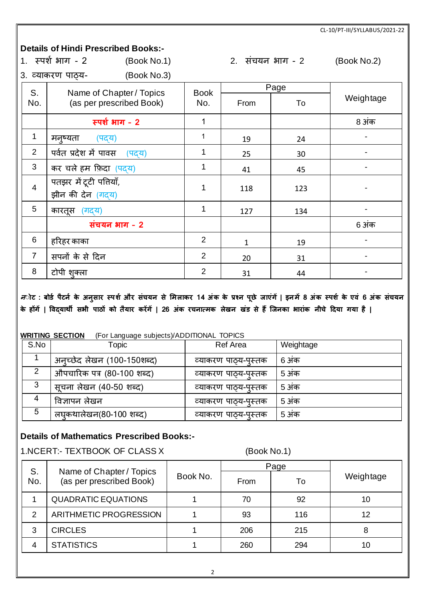### **Details of Hindi Prescribed Books:-**

|                | 1. स्पर्श भाग - 2<br>(Book No.1) |             |      | 2. संचयन भाग - 2 | (Book No.2) |
|----------------|----------------------------------|-------------|------|------------------|-------------|
|                | (Book No.3)<br>3. व्याकरण पाठ्य- |             |      |                  |             |
| S.             | Name of Chapter / Topics         | <b>Book</b> |      | Page             |             |
| No.            | (as per prescribed Book)         | No.         | From | To               | Weightage   |
|                | स्पर्श भाग - 2                   | 1           |      |                  | 8 अंक       |
| $\mathbf 1$    | मनूष्यता<br>(पद्य)               |             | 19   | 24               |             |
| $\overline{2}$ | पर्वत प्रदेश में पावस<br>(पदय)   |             | 25   | 30               |             |
| 3              | कर चले हम फ़िदा (पदय)            |             | 41   | 45               |             |
| $\overline{4}$ | पतझर में टूटी पतियाँ,            | 1           | 118  | 123              |             |
|                | झीन की देन (गद्य)                |             |      |                  |             |
| 5              | कारतूस (गद्य)                    | 1           | 127  | 134              |             |
|                | संचयन भाग - 2                    |             |      |                  | 6 अंक       |
| 6              | हरिहर काका                       | 2           | 1    | 19               |             |
| $\overline{7}$ | सपनों के से दिन                  | 2           | 20   | 31               |             |
| 8              | टोपी शुक्ला                      | 2           | 31   | 44               |             |

*न*ोट : बोर्ड पैटर्न के अनुसार स्पर्श और संचयन से मिलाकर 14 अंक के प्रश्न पूछे जाएंगें | इनमें 8 अंक स्पर्श के एवं 6 अंक संचयन **के होंगें | ववद्यार्थी सभी पाठों क तैयार करेंगें | 26 अंक रचनात्िक लेखन खंर् से हैं जजनका भारांक नीचे दिया गया है |**

#### **WRITING SECTION** (For Language subjects)/ADDITIONAL TOPICS

| S.No | Topic                       | <b>Ref Area</b>      | Weightage |
|------|-----------------------------|----------------------|-----------|
|      | अन्च्छेद लेखन (100-150शब्द) | व्याकरण पाठ्य-पुस्तक | 6 अंक     |
| 2    | औपचारिक पत्र (80-100 शब्द)  | व्याकरण पाठ्य-पुस्तक | 5 अंक     |
| 3    | सूचना लेखन (40-50 शब्द)     | व्याकरण पाठ्य-पुस्तक | 5 अंक     |
|      | विज्ञापन लेखन               | व्याकरण पाठ्य-पुस्तक | 5 अंक     |
| 5    | लघुकथालेखन(80-100 शब्द)     | व्याकरण पाठ्य-पुस्तक | 5 अंक     |

# **Details of Mathematics Prescribed Books:-**

1.NCERT:- TEXTBOOK OF CLASS X (Book No.1)

| S.  | Name of Chapter / Topics   |          |      | Page |           |
|-----|----------------------------|----------|------|------|-----------|
| No. | (as per prescribed Book)   | Book No. | From | To   | Weightage |
|     | <b>QUADRATIC EQUATIONS</b> |          | 70   | 92   | 10        |
| 2   | ARITHMETIC PROGRESSION     |          | 93   | 116  | 12        |
| 3   | <b>CIRCLES</b>             |          | 206  | 215  | 8         |
| 4   | <b>STATISTICS</b>          |          | 260  | 294  | 10        |